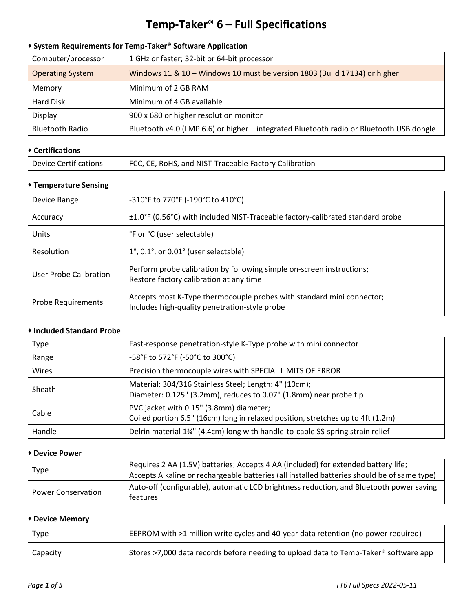# **Temp-Taker® 6 – Full Specifications**

# ⬧ **System Requirements for Temp-Taker® Software Application**

| Computer/processor      | 1 GHz or faster; 32-bit or 64-bit processor                                             |
|-------------------------|-----------------------------------------------------------------------------------------|
| <b>Operating System</b> | Windows 11 & 10 - Windows 10 must be version 1803 (Build 17134) or higher               |
| Memory                  | Minimum of 2 GB RAM                                                                     |
| Hard Disk               | Minimum of 4 GB available                                                               |
| Display                 | 900 x 680 or higher resolution monitor                                                  |
| <b>Bluetooth Radio</b>  | Bluetooth v4.0 (LMP 6.6) or higher - integrated Bluetooth radio or Bluetooth USB dongle |

## ⬧ **Certifications**

| FCC, CE, RoHS, and NIST-Traceable Factory Calibration<br><b>Device Certifications</b> |
|---------------------------------------------------------------------------------------|
|---------------------------------------------------------------------------------------|

# ⬧ **Temperature Sensing**

| Device Range              | -310°F to 770°F (-190°C to 410°C)                                                                                      |
|---------------------------|------------------------------------------------------------------------------------------------------------------------|
| Accuracy                  | ±1.0°F (0.56°C) with included NIST-Traceable factory-calibrated standard probe                                         |
| Units                     | °F or °C (user selectable)                                                                                             |
| Resolution                | $1^{\circ}$ , 0.1°, or 0.01° (user selectable)                                                                         |
| User Probe Calibration    | Perform probe calibration by following simple on-screen instructions;<br>Restore factory calibration at any time       |
| <b>Probe Requirements</b> | Accepts most K-Type thermocouple probes with standard mini connector;<br>Includes high-quality penetration-style probe |

#### ⬧ **Included Standard Probe**

| <b>Type</b> | Fast-response penetration-style K-Type probe with mini connector                                                           |
|-------------|----------------------------------------------------------------------------------------------------------------------------|
| Range       | -58°F to 572°F (-50°C to 300°C)                                                                                            |
| Wires       | Precision thermocouple wires with SPECIAL LIMITS OF ERROR                                                                  |
| Sheath      | Material: 304/316 Stainless Steel; Length: 4" (10cm);<br>Diameter: 0.125" (3.2mm), reduces to 0.07" (1.8mm) near probe tip |
| Cable       | PVC jacket with 0.15" (3.8mm) diameter;<br>Coiled portion 6.5" (16cm) long in relaxed position, stretches up to 4ft (1.2m) |
| Handle      | Delrin material 1 <sup>34"</sup> (4.4cm) long with handle-to-cable SS-spring strain relief                                 |

#### ⬧ **Device Power**

| Type                      | Requires 2 AA (1.5V) batteries; Accepts 4 AA (included) for extended battery life;<br>Accepts Alkaline or rechargeable batteries (all installed batteries should be of same type) |
|---------------------------|-----------------------------------------------------------------------------------------------------------------------------------------------------------------------------------|
| <b>Power Conservation</b> | Auto-off (configurable), automatic LCD brightness reduction, and Bluetooth power saving<br>features                                                                               |

#### ⬧ **Device Memory**

| <b>Type</b> | EEPROM with >1 million write cycles and 40-year data retention (no power required)   |
|-------------|--------------------------------------------------------------------------------------|
| Capacity    | Stores >7,000 data records before needing to upload data to Temp-Taker® software app |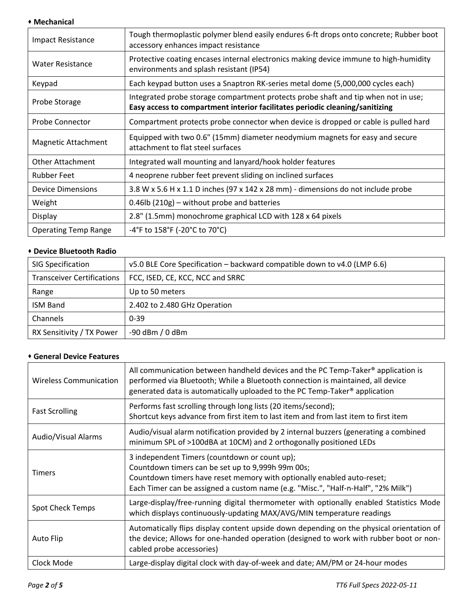## ⬧ **Mechanical**

| <b>Impact Resistance</b>    | Tough thermoplastic polymer blend easily endures 6-ft drops onto concrete; Rubber boot<br>accessory enhances impact resistance                                     |
|-----------------------------|--------------------------------------------------------------------------------------------------------------------------------------------------------------------|
| <b>Water Resistance</b>     | Protective coating encases internal electronics making device immune to high-humidity<br>environments and splash resistant (IP54)                                  |
| Keypad                      | Each keypad button uses a Snaptron RK-series metal dome (5,000,000 cycles each)                                                                                    |
| Probe Storage               | Integrated probe storage compartment protects probe shaft and tip when not in use;<br>Easy access to compartment interior facilitates periodic cleaning/sanitizing |
| <b>Probe Connector</b>      | Compartment protects probe connector when device is dropped or cable is pulled hard                                                                                |
| Magnetic Attachment         | Equipped with two 0.6" (15mm) diameter neodymium magnets for easy and secure<br>attachment to flat steel surfaces                                                  |
| <b>Other Attachment</b>     | Integrated wall mounting and lanyard/hook holder features                                                                                                          |
| <b>Rubber Feet</b>          | 4 neoprene rubber feet prevent sliding on inclined surfaces                                                                                                        |
| <b>Device Dimensions</b>    | 3.8 W x 5.6 H x 1.1 D inches (97 x 142 x 28 mm) - dimensions do not include probe                                                                                  |
| Weight                      | $0.46$ lb (210g) – without probe and batteries                                                                                                                     |
| Display                     | 2.8" (1.5mm) monochrome graphical LCD with 128 x 64 pixels                                                                                                         |
| <b>Operating Temp Range</b> | -4°F to 158°F (-20°C to 70°C)                                                                                                                                      |

## ⬧ **Device Bluetooth Radio**

| <b>SIG Specification</b>          | v5.0 BLE Core Specification – backward compatible down to v4.0 (LMP 6.6) |
|-----------------------------------|--------------------------------------------------------------------------|
| <b>Transceiver Certifications</b> | FCC, ISED, CE, KCC, NCC and SRRC                                         |
| Range                             | Up to 50 meters                                                          |
| <b>ISM Band</b>                   | 2.402 to 2.480 GHz Operation                                             |
| Channels                          | $0 - 39$                                                                 |
| RX Sensitivity / TX Power         | $-90$ dBm $/0$ dBm                                                       |

## ⬧ **General Device Features**

| <b>Wireless Communication</b> | All communication between handheld devices and the PC Temp-Taker® application is<br>performed via Bluetooth; While a Bluetooth connection is maintained, all device<br>generated data is automatically uploaded to the PC Temp-Taker <sup>®</sup> application     |
|-------------------------------|-------------------------------------------------------------------------------------------------------------------------------------------------------------------------------------------------------------------------------------------------------------------|
| <b>Fast Scrolling</b>         | Performs fast scrolling through long lists (20 items/second);<br>Shortcut keys advance from first item to last item and from last item to first item                                                                                                              |
| Audio/Visual Alarms           | Audio/visual alarm notification provided by 2 internal buzzers (generating a combined<br>minimum SPL of >100dBA at 10CM) and 2 orthogonally positioned LEDs                                                                                                       |
| <b>Timers</b>                 | 3 independent Timers (countdown or count up);<br>Countdown timers can be set up to 9,999h 99m 00s;<br>Countdown timers have reset memory with optionally enabled auto-reset;<br>Each Timer can be assigned a custom name (e.g. "Misc.", "Half-n-Half", "2% Milk") |
| <b>Spot Check Temps</b>       | Large-display/free-running digital thermometer with optionally enabled Statistics Mode<br>which displays continuously-updating MAX/AVG/MIN temperature readings                                                                                                   |
| Auto Flip                     | Automatically flips display content upside down depending on the physical orientation of<br>the device; Allows for one-handed operation (designed to work with rubber boot or non-<br>cabled probe accessories)                                                   |
| Clock Mode                    | Large-display digital clock with day-of-week and date; AM/PM or 24-hour modes                                                                                                                                                                                     |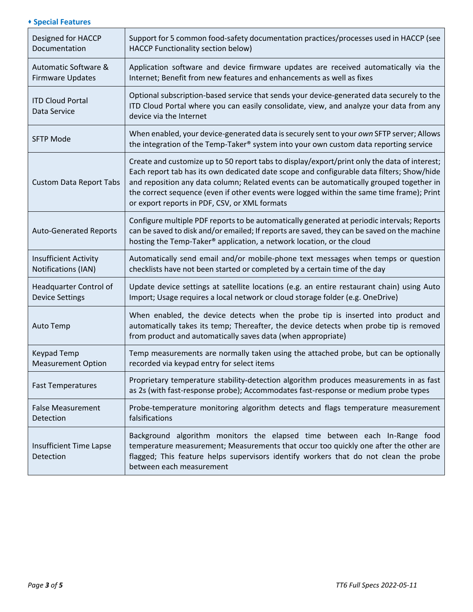## ⬧ **Special Features**

| Designed for HACCP<br>Documentation                 | Support for 5 common food-safety documentation practices/processes used in HACCP (see<br>HACCP Functionality section below)                                                                                                                                                                                                                                                                                                        |
|-----------------------------------------------------|------------------------------------------------------------------------------------------------------------------------------------------------------------------------------------------------------------------------------------------------------------------------------------------------------------------------------------------------------------------------------------------------------------------------------------|
| Automatic Software &<br><b>Firmware Updates</b>     | Application software and device firmware updates are received automatically via the<br>Internet; Benefit from new features and enhancements as well as fixes                                                                                                                                                                                                                                                                       |
| <b>ITD Cloud Portal</b><br>Data Service             | Optional subscription-based service that sends your device-generated data securely to the<br>ITD Cloud Portal where you can easily consolidate, view, and analyze your data from any<br>device via the Internet                                                                                                                                                                                                                    |
| <b>SFTP Mode</b>                                    | When enabled, your device-generated data is securely sent to your own SFTP server; Allows<br>the integration of the Temp-Taker® system into your own custom data reporting service                                                                                                                                                                                                                                                 |
| <b>Custom Data Report Tabs</b>                      | Create and customize up to 50 report tabs to display/export/print only the data of interest;<br>Each report tab has its own dedicated date scope and configurable data filters; Show/hide<br>and reposition any data column; Related events can be automatically grouped together in<br>the correct sequence (even if other events were logged within the same time frame); Print<br>or export reports in PDF, CSV, or XML formats |
| <b>Auto-Generated Reports</b>                       | Configure multiple PDF reports to be automatically generated at periodic intervals; Reports<br>can be saved to disk and/or emailed; If reports are saved, they can be saved on the machine<br>hosting the Temp-Taker® application, a network location, or the cloud                                                                                                                                                                |
| <b>Insufficient Activity</b><br>Notifications (IAN) | Automatically send email and/or mobile-phone text messages when temps or question<br>checklists have not been started or completed by a certain time of the day                                                                                                                                                                                                                                                                    |
| Headquarter Control of<br><b>Device Settings</b>    | Update device settings at satellite locations (e.g. an entire restaurant chain) using Auto<br>Import; Usage requires a local network or cloud storage folder (e.g. OneDrive)                                                                                                                                                                                                                                                       |
| Auto Temp                                           | When enabled, the device detects when the probe tip is inserted into product and<br>automatically takes its temp; Thereafter, the device detects when probe tip is removed<br>from product and automatically saves data (when appropriate)                                                                                                                                                                                         |
| <b>Keypad Temp</b><br><b>Measurement Option</b>     | Temp measurements are normally taken using the attached probe, but can be optionally<br>recorded via keypad entry for select items                                                                                                                                                                                                                                                                                                 |
| <b>Fast Temperatures</b>                            | Proprietary temperature stability-detection algorithm produces measurements in as fast<br>as 2s (with fast-response probe); Accommodates fast-response or medium probe types                                                                                                                                                                                                                                                       |
| <b>False Measurement</b><br>Detection               | Probe-temperature monitoring algorithm detects and flags temperature measurement<br>falsifications                                                                                                                                                                                                                                                                                                                                 |
| Insufficient Time Lapse<br>Detection                | Background algorithm monitors the elapsed time between each In-Range food<br>temperature measurement; Measurements that occur too quickly one after the other are<br>flagged; This feature helps supervisors identify workers that do not clean the probe<br>between each measurement                                                                                                                                              |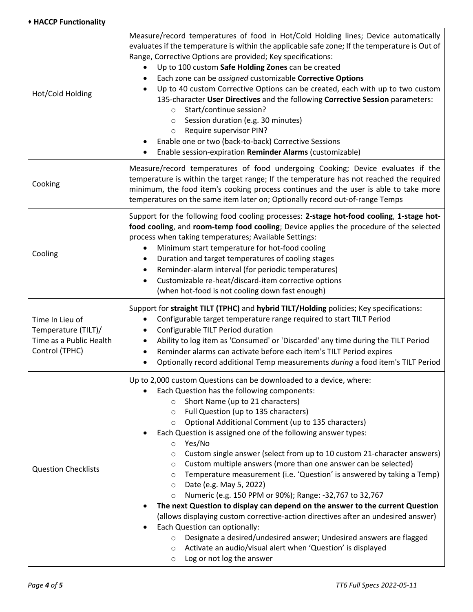#### ⬧ **HACCP Functionality**

| Hot/Cold Holding                                                                    | Measure/record temperatures of food in Hot/Cold Holding lines; Device automatically<br>evaluates if the temperature is within the applicable safe zone; If the temperature is Out of<br>Range, Corrective Options are provided; Key specifications:<br>Up to 100 custom Safe Holding Zones can be created<br>$\bullet$<br>Each zone can be assigned customizable Corrective Options<br>Up to 40 custom Corrective Options can be created, each with up to two custom<br>135-character User Directives and the following Corrective Session parameters:<br>Start/continue session?<br>$\circ$<br>Session duration (e.g. 30 minutes)<br>$\circ$<br>Require supervisor PIN?<br>$\circ$<br>Enable one or two (back-to-back) Corrective Sessions<br>Enable session-expiration Reminder Alarms (customizable)                                                                                                                                                                                                                                                                                                                                |
|-------------------------------------------------------------------------------------|----------------------------------------------------------------------------------------------------------------------------------------------------------------------------------------------------------------------------------------------------------------------------------------------------------------------------------------------------------------------------------------------------------------------------------------------------------------------------------------------------------------------------------------------------------------------------------------------------------------------------------------------------------------------------------------------------------------------------------------------------------------------------------------------------------------------------------------------------------------------------------------------------------------------------------------------------------------------------------------------------------------------------------------------------------------------------------------------------------------------------------------|
| Cooking                                                                             | Measure/record temperatures of food undergoing Cooking; Device evaluates if the<br>temperature is within the target range; If the temperature has not reached the required<br>minimum, the food item's cooking process continues and the user is able to take more<br>temperatures on the same item later on; Optionally record out-of-range Temps                                                                                                                                                                                                                                                                                                                                                                                                                                                                                                                                                                                                                                                                                                                                                                                     |
| Cooling                                                                             | Support for the following food cooling processes: 2-stage hot-food cooling, 1-stage hot-<br>food cooling, and room-temp food cooling; Device applies the procedure of the selected<br>process when taking temperatures; Available Settings:<br>Minimum start temperature for hot-food cooling<br>Duration and target temperatures of cooling stages<br>Reminder-alarm interval (for periodic temperatures)<br>Customizable re-heat/discard-item corrective options<br>$\bullet$<br>(when hot-food is not cooling down fast enough)                                                                                                                                                                                                                                                                                                                                                                                                                                                                                                                                                                                                     |
| Time In Lieu of<br>Temperature (TILT)/<br>Time as a Public Health<br>Control (TPHC) | Support for straight TILT (TPHC) and hybrid TILT/Holding policies; Key specifications:<br>Configurable target temperature range required to start TILT Period<br>Configurable TILT Period duration<br>$\bullet$<br>Ability to log item as 'Consumed' or 'Discarded' any time during the TILT Period<br>٠<br>Reminder alarms can activate before each item's TILT Period expires<br>٠<br>Optionally record additional Temp measurements during a food item's TILT Period                                                                                                                                                                                                                                                                                                                                                                                                                                                                                                                                                                                                                                                                |
| <b>Question Checklists</b>                                                          | Up to 2,000 custom Questions can be downloaded to a device, where:<br>Each Question has the following components:<br>Short Name (up to 21 characters)<br>$\circ$<br>Full Question (up to 135 characters)<br>$\circ$<br>Optional Additional Comment (up to 135 characters)<br>$\circ$<br>Each Question is assigned one of the following answer types:<br>Yes/No<br>$\circ$<br>Custom single answer (select from up to 10 custom 21-character answers)<br>O<br>Custom multiple answers (more than one answer can be selected)<br>O<br>Temperature measurement (i.e. 'Question' is answered by taking a Temp)<br>$\circ$<br>Date (e.g. May 5, 2022)<br>$\circ$<br>Numeric (e.g. 150 PPM or 90%); Range: -32,767 to 32,767<br>$\circ$<br>The next Question to display can depend on the answer to the current Question<br>(allows displaying custom corrective-action directives after an undesired answer)<br>Each Question can optionally:<br>Designate a desired/undesired answer; Undesired answers are flagged<br>$\circ$<br>Activate an audio/visual alert when 'Question' is displayed<br>O<br>Log or not log the answer<br>$\circ$ |